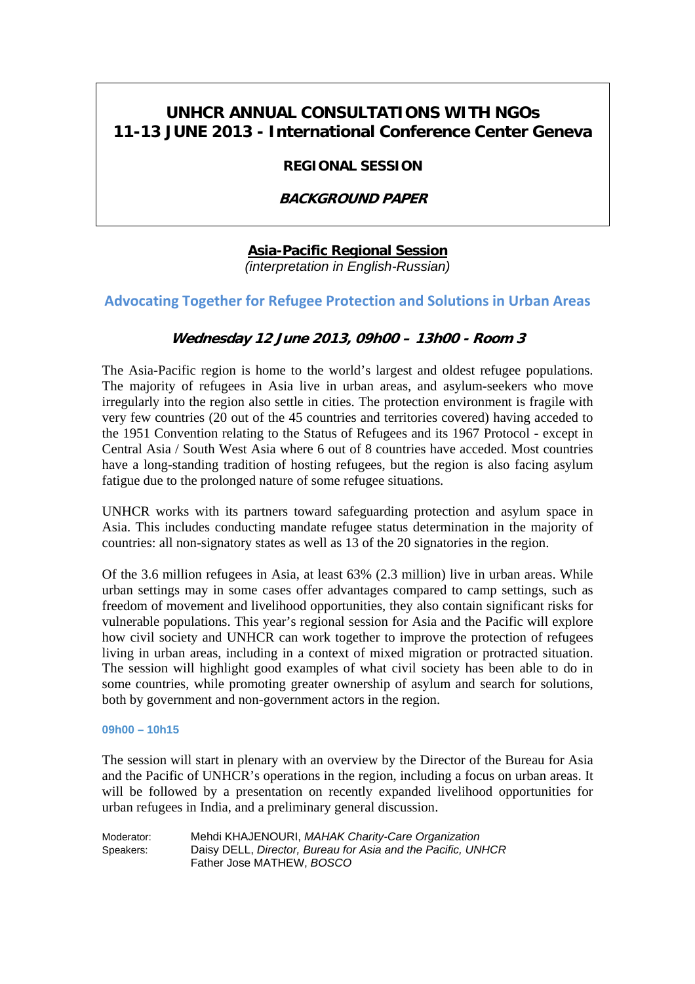# **UNHCR ANNUAL CONSULTATIONS WITH NGOs 11-13 JUNE 2013 - International Conference Center Geneva**

## **REGIONAL SESSION**

# **BACKGROUND PAPER**

# **Asia-Pacific Regional Session**

*(interpretation in English-Russian)* 

# **Advocating Together for Refugee Protection and Solutions in Urban Areas**

## **Wednesday 12 June 2013, 09h00 – 13h00 - Room 3**

The Asia-Pacific region is home to the world's largest and oldest refugee populations. The majority of refugees in Asia live in urban areas, and asylum-seekers who move irregularly into the region also settle in cities. The protection environment is fragile with very few countries (20 out of the 45 countries and territories covered) having acceded to the 1951 Convention relating to the Status of Refugees and its 1967 Protocol - except in Central Asia / South West Asia where 6 out of 8 countries have acceded. Most countries have a long-standing tradition of hosting refugees, but the region is also facing asylum fatigue due to the prolonged nature of some refugee situations.

UNHCR works with its partners toward safeguarding protection and asylum space in Asia. This includes conducting mandate refugee status determination in the majority of countries: all non-signatory states as well as 13 of the 20 signatories in the region.

Of the 3.6 million refugees in Asia, at least 63% (2.3 million) live in urban areas. While urban settings may in some cases offer advantages compared to camp settings, such as freedom of movement and livelihood opportunities, they also contain significant risks for vulnerable populations. This year's regional session for Asia and the Pacific will explore how civil society and UNHCR can work together to improve the protection of refugees living in urban areas, including in a context of mixed migration or protracted situation. The session will highlight good examples of what civil society has been able to do in some countries, while promoting greater ownership of asylum and search for solutions, both by government and non-government actors in the region.

## **09h00 – 10h15**

The session will start in plenary with an overview by the Director of the Bureau for Asia and the Pacific of UNHCR's operations in the region, including a focus on urban areas. It will be followed by a presentation on recently expanded livelihood opportunities for urban refugees in India, and a preliminary general discussion.

| Moderator: | Mehdi KHAJENOURI, MAHAK Charity-Care Organization            |
|------------|--------------------------------------------------------------|
| Speakers:  | Daisy DELL, Director, Bureau for Asia and the Pacific, UNHCR |
|            | Father Jose MATHEW, BOSCO                                    |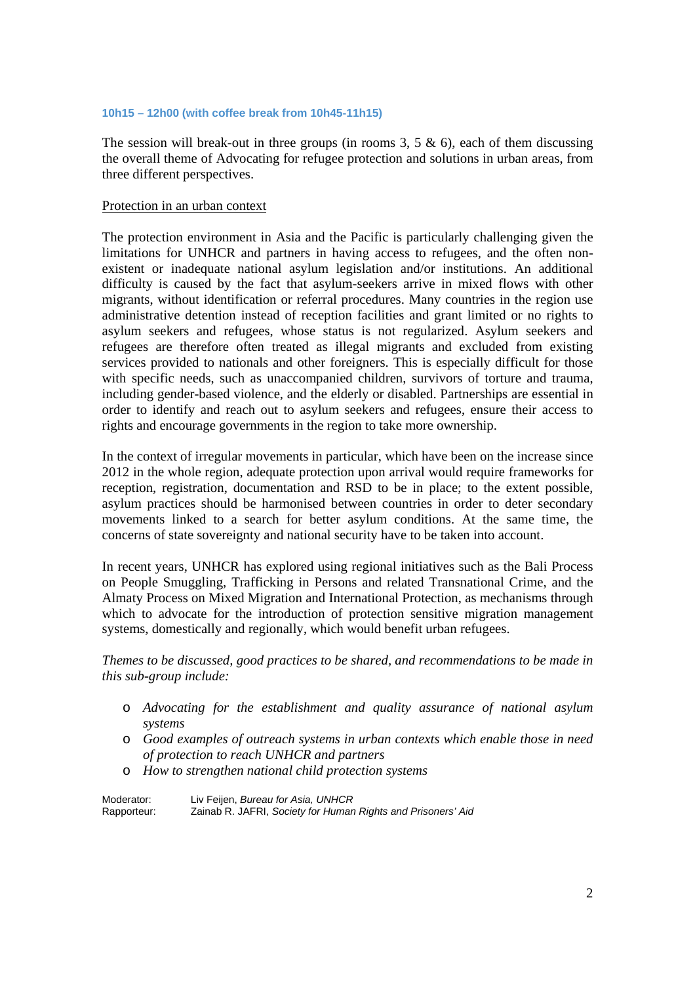#### **10h15 – 12h00 (with coffee break from 10h45-11h15)**

The session will break-out in three groups (in rooms  $3, 5 \& 6$ ), each of them discussing the overall theme of Advocating for refugee protection and solutions in urban areas, from three different perspectives.

### Protection in an urban context

The protection environment in Asia and the Pacific is particularly challenging given the limitations for UNHCR and partners in having access to refugees, and the often nonexistent or inadequate national asylum legislation and/or institutions. An additional difficulty is caused by the fact that asylum-seekers arrive in mixed flows with other migrants, without identification or referral procedures. Many countries in the region use administrative detention instead of reception facilities and grant limited or no rights to asylum seekers and refugees, whose status is not regularized. Asylum seekers and refugees are therefore often treated as illegal migrants and excluded from existing services provided to nationals and other foreigners. This is especially difficult for those with specific needs, such as unaccompanied children, survivors of torture and trauma, including gender-based violence, and the elderly or disabled. Partnerships are essential in order to identify and reach out to asylum seekers and refugees, ensure their access to rights and encourage governments in the region to take more ownership.

In the context of irregular movements in particular, which have been on the increase since 2012 in the whole region, adequate protection upon arrival would require frameworks for reception, registration, documentation and RSD to be in place; to the extent possible, asylum practices should be harmonised between countries in order to deter secondary movements linked to a search for better asylum conditions. At the same time, the concerns of state sovereignty and national security have to be taken into account.

In recent years, UNHCR has explored using regional initiatives such as the Bali Process on People Smuggling, Trafficking in Persons and related Transnational Crime, and the Almaty Process on Mixed Migration and International Protection, as mechanisms through which to advocate for the introduction of protection sensitive migration management systems, domestically and regionally, which would benefit urban refugees.

*Themes to be discussed, good practices to be shared, and recommendations to be made in this sub-group include:* 

- o *Advocating for the establishment and quality assurance of national asylum systems*
- o *Good examples of outreach systems in urban contexts which enable those in need of protection to reach UNHCR and partners*
- o *How to strengthen national child protection systems*

Moderator: Liv Feijen, *Bureau for Asia, UNHCR*  Zainab R. JAFRI, *Society for Human Rights and Prisoners' Aid*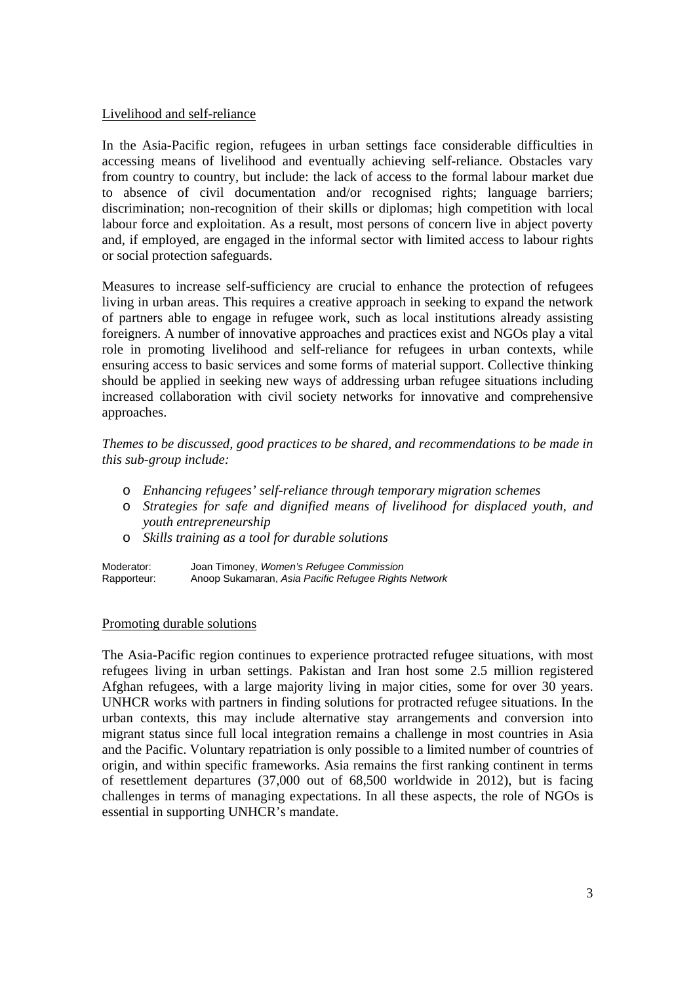## Livelihood and self-reliance

In the Asia-Pacific region, refugees in urban settings face considerable difficulties in accessing means of livelihood and eventually achieving self-reliance. Obstacles vary from country to country, but include: the lack of access to the formal labour market due to absence of civil documentation and/or recognised rights; language barriers; discrimination; non-recognition of their skills or diplomas; high competition with local labour force and exploitation. As a result, most persons of concern live in abject poverty and, if employed, are engaged in the informal sector with limited access to labour rights or social protection safeguards.

Measures to increase self-sufficiency are crucial to enhance the protection of refugees living in urban areas. This requires a creative approach in seeking to expand the network of partners able to engage in refugee work, such as local institutions already assisting foreigners. A number of innovative approaches and practices exist and NGOs play a vital role in promoting livelihood and self-reliance for refugees in urban contexts, while ensuring access to basic services and some forms of material support. Collective thinking should be applied in seeking new ways of addressing urban refugee situations including increased collaboration with civil society networks for innovative and comprehensive approaches.

*Themes to be discussed, good practices to be shared, and recommendations to be made in this sub-group include:* 

- o *Enhancing refugees' self-reliance through temporary migration schemes*
- o *Strategies for safe and dignified means of livelihood for displaced youth, and youth entrepreneurship*
- o *Skills training as a tool for durable solutions*

Moderator: Joan Timoney, *Women's Refugee Commission*  Rapporteur:Anoop Sukamaran, *Asia Pacific Refugee Rights Network* 

### Promoting durable solutions

The Asia-Pacific region continues to experience protracted refugee situations, with most refugees living in urban settings. Pakistan and Iran host some 2.5 million registered Afghan refugees, with a large majority living in major cities, some for over 30 years. UNHCR works with partners in finding solutions for protracted refugee situations. In the urban contexts, this may include alternative stay arrangements and conversion into migrant status since full local integration remains a challenge in most countries in Asia and the Pacific. Voluntary repatriation is only possible to a limited number of countries of origin, and within specific frameworks. Asia remains the first ranking continent in terms of resettlement departures (37,000 out of 68,500 worldwide in 2012), but is facing challenges in terms of managing expectations. In all these aspects, the role of NGOs is essential in supporting UNHCR's mandate.